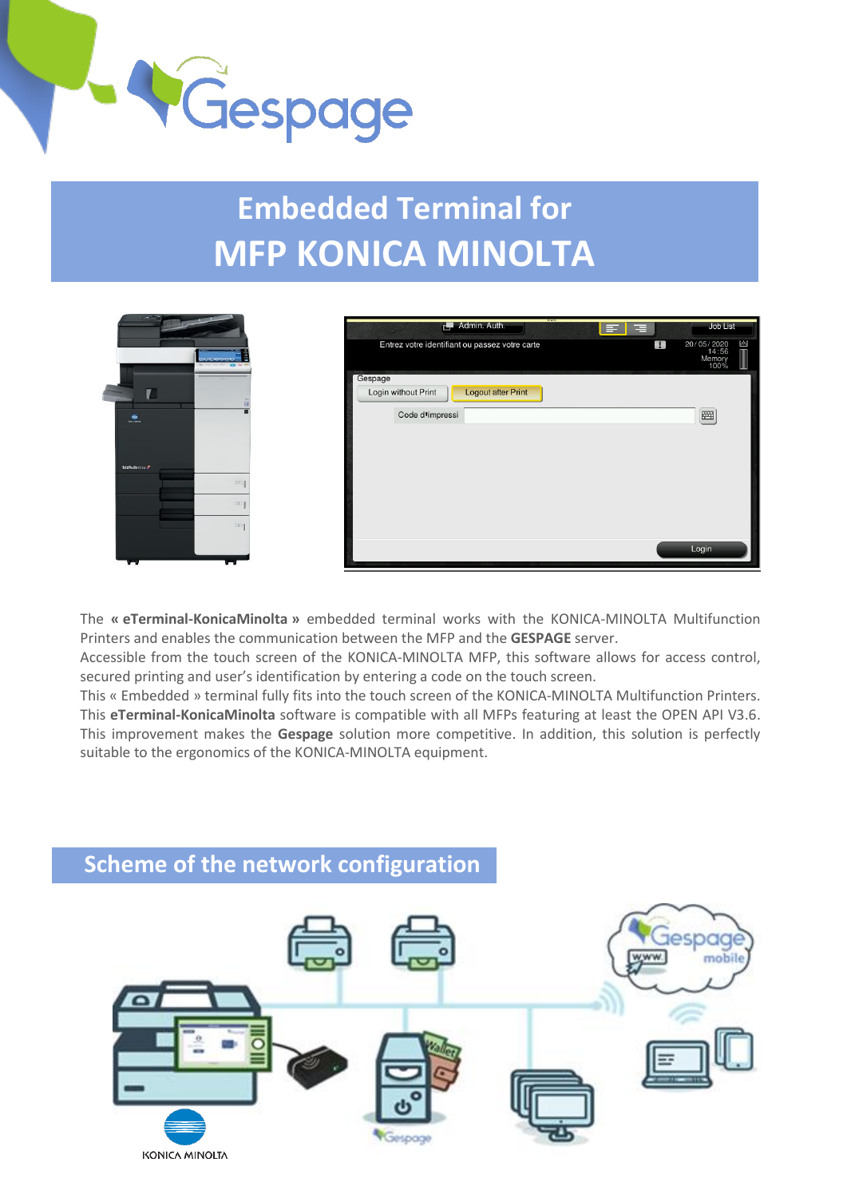

## **Embedded Terminal for MFP KONICA MINOLTA**



| (193)<br>Admin. Auth.<br>г.,<br>터비트              | Job List                                   |
|--------------------------------------------------|--------------------------------------------|
| Entrez votre identifiant ou passez votre carte   | 圖<br>20/05/2020<br>14:56<br>Memory<br>100% |
| Gespage                                          |                                            |
| Login without Print<br><b>Logout after Print</b> |                                            |
| Code d'impressi                                  | 圏                                          |
|                                                  |                                            |
|                                                  |                                            |
|                                                  |                                            |
|                                                  |                                            |
|                                                  |                                            |
|                                                  |                                            |
|                                                  | Login                                      |

The **« eTerminal-KonicaMinolta »** embedded terminal works with the KONICA-MINOLTA Multifunction Printers and enables the communication between the MFP and the **GESPAGE** server.

Accessible from the touch screen of the KONICA-MINOLTA MFP, this software allows for access control, secured printing and user's identification by entering a code on the touch screen.

This « Embedded » terminal fully fits into the touch screen of the KONICA-MINOLTA Multifunction Printers. This **eTerminal-KonicaMinolta** software is compatible with all MFPs featuring at least the OPEN API V3.6. This improvement makes the **Gespage** solution more competitive. In addition, this solution is perfectly suitable to the ergonomics of the KONICA-MINOLTA equipment.